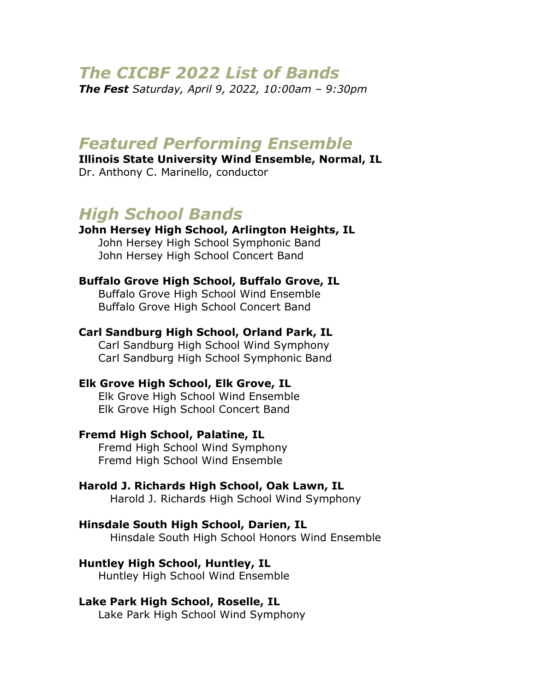# *The CICBF 2022 List of Bands*

*The Fest Saturday, April 9, 2022, 10:00am – 9:30pm*

# *Featured Performing Ensemble*

**Illinois State University Wind Ensemble, Normal, IL** Dr. Anthony C. Marinello, conductor

# *High School Bands*

**John Hersey High School, Arlington Heights, IL** John Hersey High School Symphonic Band John Hersey High School Concert Band

# **Buffalo Grove High School, Buffalo Grove, IL**

Buffalo Grove High School Wind Ensemble Buffalo Grove High School Concert Band

#### **Carl Sandburg High School, Orland Park, IL** Carl Sandburg High School Wind Symphony

Carl Sandburg High School Symphonic Band

#### **Elk Grove High School, Elk Grove, IL**

Elk Grove High School Wind Ensemble Elk Grove High School Concert Band

#### **Fremd High School, Palatine, IL**

Fremd High School Wind Symphony Fremd High School Wind Ensemble

#### **Harold J. Richards High School, Oak Lawn, IL**

Harold J. Richards High School Wind Symphony

#### **Hinsdale South High School, Darien, IL**

Hinsdale South High School Honors Wind Ensemble

#### **Huntley High School, Huntley, IL**

Huntley High School Wind Ensemble

#### **Lake Park High School, Roselle, IL**

Lake Park High School Wind Symphony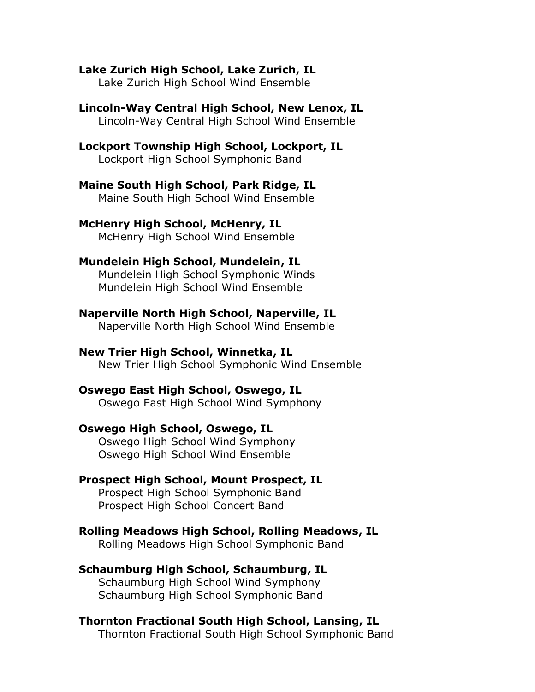#### **Lake Zurich High School, Lake Zurich, IL**

Lake Zurich High School Wind Ensemble

#### **Lincoln-Way Central High School, New Lenox, IL** Lincoln-Way Central High School Wind Ensemble

# **Lockport Township High School, Lockport, IL**

Lockport High School Symphonic Band

#### **Maine South High School, Park Ridge, IL** Maine South High School Wind Ensemble

#### **McHenry High School, McHenry, IL** McHenry High School Wind Ensemble

## **Mundelein High School, Mundelein, IL**

Mundelein High School Symphonic Winds Mundelein High School Wind Ensemble

## **Naperville North High School, Naperville, IL**

Naperville North High School Wind Ensemble

# **New Trier High School, Winnetka, IL**

New Trier High School Symphonic Wind Ensemble

## **Oswego East High School, Oswego, IL**

Oswego East High School Wind Symphony

## **Oswego High School, Oswego, IL**

Oswego High School Wind Symphony Oswego High School Wind Ensemble

# **Prospect High School, Mount Prospect, IL**

Prospect High School Symphonic Band Prospect High School Concert Band

# **Rolling Meadows High School, Rolling Meadows, IL**

Rolling Meadows High School Symphonic Band

# **Schaumburg High School, Schaumburg, IL**

Schaumburg High School Wind Symphony Schaumburg High School Symphonic Band

# **Thornton Fractional South High School, Lansing, IL**

Thornton Fractional South High School Symphonic Band